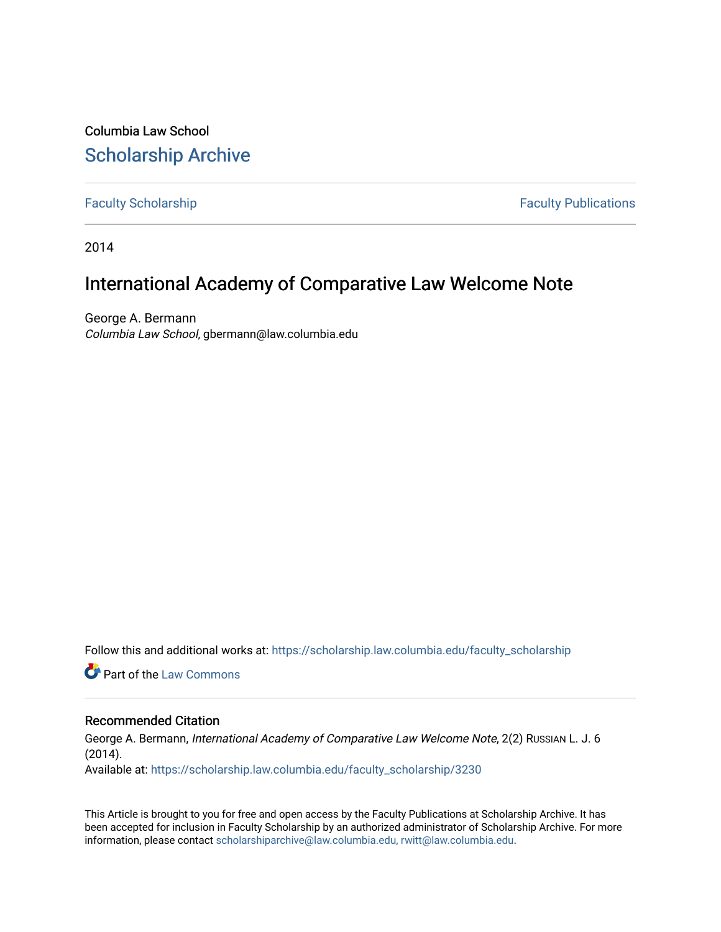Columbia Law School [Scholarship Archive](https://scholarship.law.columbia.edu/) 

[Faculty Scholarship](https://scholarship.law.columbia.edu/faculty_scholarship) **Faculty Scholarship** Faculty Publications

2014

## International Academy of Comparative Law Welcome Note

George A. Bermann Columbia Law School, gbermann@law.columbia.edu

Follow this and additional works at: [https://scholarship.law.columbia.edu/faculty\\_scholarship](https://scholarship.law.columbia.edu/faculty_scholarship?utm_source=scholarship.law.columbia.edu%2Ffaculty_scholarship%2F3230&utm_medium=PDF&utm_campaign=PDFCoverPages)

**C** Part of the [Law Commons](http://network.bepress.com/hgg/discipline/578?utm_source=scholarship.law.columbia.edu%2Ffaculty_scholarship%2F3230&utm_medium=PDF&utm_campaign=PDFCoverPages)

## Recommended Citation

George A. Bermann, International Academy of Comparative Law Welcome Note, 2(2) Russian L. J. 6 (2014). Available at: [https://scholarship.law.columbia.edu/faculty\\_scholarship/3230](https://scholarship.law.columbia.edu/faculty_scholarship/3230?utm_source=scholarship.law.columbia.edu%2Ffaculty_scholarship%2F3230&utm_medium=PDF&utm_campaign=PDFCoverPages)

This Article is brought to you for free and open access by the Faculty Publications at Scholarship Archive. It has been accepted for inclusion in Faculty Scholarship by an authorized administrator of Scholarship Archive. For more information, please contact [scholarshiparchive@law.columbia.edu, rwitt@law.columbia.edu](mailto:scholarshiparchive@law.columbia.edu,%20rwitt@law.columbia.edu).